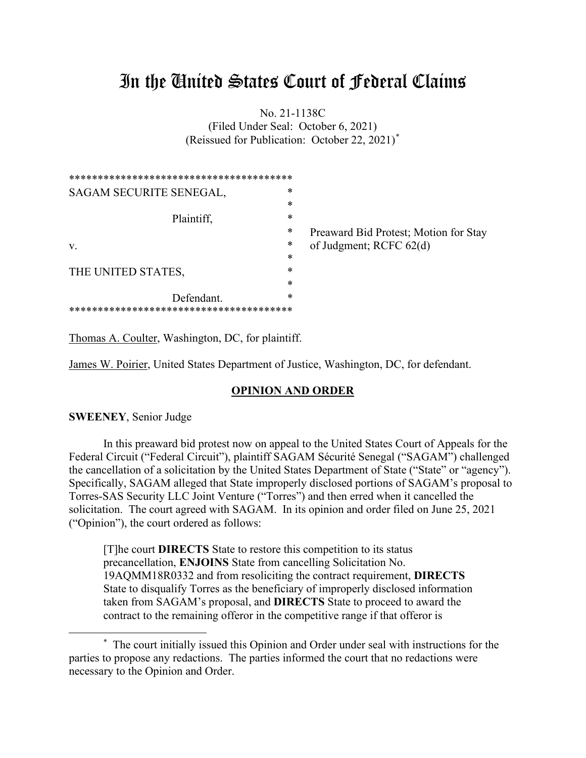# In the United States Court of Federal Claims

No. 21-1138C (Filed Under Seal: October 6, 2021) (Reissued for Publication: October 22, 2021)\*

| SAGAM SECURITE SENEGAL, | *      |                                       |
|-------------------------|--------|---------------------------------------|
|                         | $\ast$ |                                       |
| Plaintiff,              | *      |                                       |
|                         | *      | Preaward Bid Protest; Motion for Stay |
| V.                      | *      | of Judgment; RCFC 62(d)               |
|                         | *      |                                       |
| THE UNITED STATES,      | *      |                                       |
|                         | *      |                                       |
| Defendant.              | *      |                                       |
|                         |        |                                       |

Thomas A. Coulter, Washington, DC, for plaintiff.

James W. Poirier, United States Department of Justice, Washington, DC, for defendant.

#### **OPINION AND ORDER**

**SWEENEY**, Senior Judge

In this preaward bid protest now on appeal to the United States Court of Appeals for the Federal Circuit ("Federal Circuit"), plaintiff SAGAM Sécurité Senegal ("SAGAM") challenged the cancellation of a solicitation by the United States Department of State ("State" or "agency"). Specifically, SAGAM alleged that State improperly disclosed portions of SAGAM's proposal to Torres-SAS Security LLC Joint Venture ("Torres") and then erred when it cancelled the solicitation. The court agreed with SAGAM. In its opinion and order filed on June 25, 2021 ("Opinion"), the court ordered as follows:

[T]he court **DIRECTS** State to restore this competition to its status precancellation, **ENJOINS** State from cancelling Solicitation No. 19AQMM18R0332 and from resoliciting the contract requirement, **DIRECTS** State to disqualify Torres as the beneficiary of improperly disclosed information taken from SAGAM's proposal, and **DIRECTS** State to proceed to award the contract to the remaining offeror in the competitive range if that offeror is

<sup>\*</sup> The court initially issued this Opinion and Order under seal with instructions for the parties to propose any redactions. The parties informed the court that no redactions were necessary to the Opinion and Order.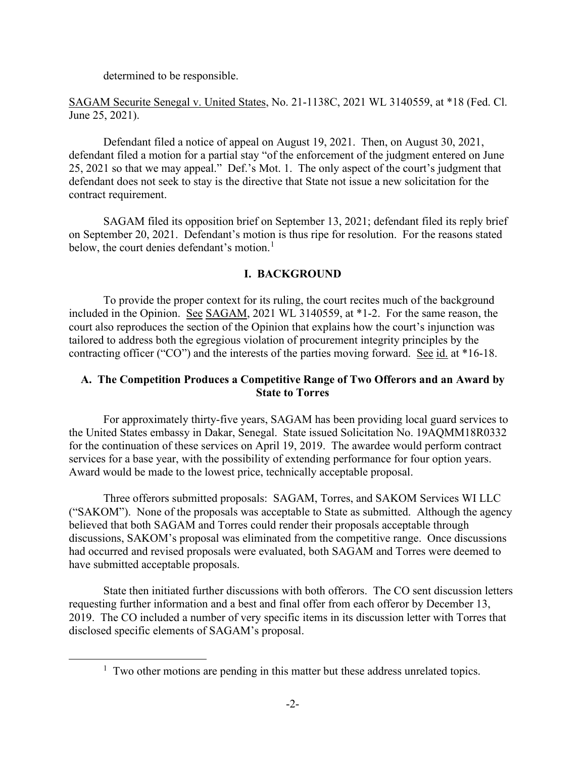determined to be responsible.

SAGAM Securite Senegal v. United States, No. 21-1138C, 2021 WL 3140559, at \*18 (Fed. Cl. June 25, 2021).

Defendant filed a notice of appeal on August 19, 2021. Then, on August 30, 2021, defendant filed a motion for a partial stay "of the enforcement of the judgment entered on June 25, 2021 so that we may appeal." Def.'s Mot. 1. The only aspect of the court's judgment that defendant does not seek to stay is the directive that State not issue a new solicitation for the contract requirement.

SAGAM filed its opposition brief on September 13, 2021; defendant filed its reply brief on September 20, 2021. Defendant's motion is thus ripe for resolution. For the reasons stated below, the court denies defendant's motion.<sup>1</sup>

# **I. BACKGROUND**

To provide the proper context for its ruling, the court recites much of the background included in the Opinion. See SAGAM, 2021 WL 3140559, at \*1-2. For the same reason, the court also reproduces the section of the Opinion that explains how the court's injunction was tailored to address both the egregious violation of procurement integrity principles by the contracting officer ("CO") and the interests of the parties moving forward. See id. at \*16-18.

# **A. The Competition Produces a Competitive Range of Two Offerors and an Award by State to Torres**

For approximately thirty-five years, SAGAM has been providing local guard services to the United States embassy in Dakar, Senegal. State issued Solicitation No. 19AQMM18R0332 for the continuation of these services on April 19, 2019. The awardee would perform contract services for a base year, with the possibility of extending performance for four option years. Award would be made to the lowest price, technically acceptable proposal.

Three offerors submitted proposals: SAGAM, Torres, and SAKOM Services WI LLC ("SAKOM"). None of the proposals was acceptable to State as submitted. Although the agency believed that both SAGAM and Torres could render their proposals acceptable through discussions, SAKOM's proposal was eliminated from the competitive range. Once discussions had occurred and revised proposals were evaluated, both SAGAM and Torres were deemed to have submitted acceptable proposals.

State then initiated further discussions with both offerors. The CO sent discussion letters requesting further information and a best and final offer from each offeror by December 13, 2019. The CO included a number of very specific items in its discussion letter with Torres that disclosed specific elements of SAGAM's proposal.

<sup>&</sup>lt;sup>1</sup> Two other motions are pending in this matter but these address unrelated topics.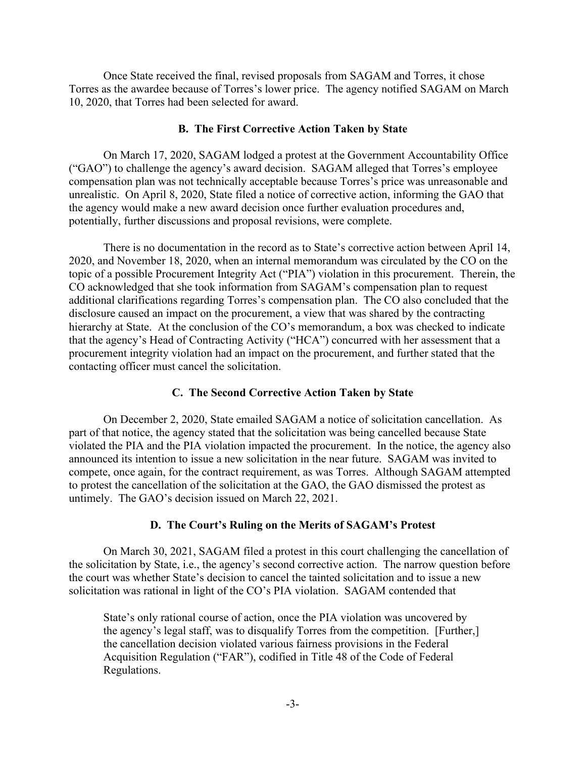Once State received the final, revised proposals from SAGAM and Torres, it chose Torres as the awardee because of Torres's lower price. The agency notified SAGAM on March 10, 2020, that Torres had been selected for award.

#### **B. The First Corrective Action Taken by State**

On March 17, 2020, SAGAM lodged a protest at the Government Accountability Office ("GAO") to challenge the agency's award decision. SAGAM alleged that Torres's employee compensation plan was not technically acceptable because Torres's price was unreasonable and unrealistic. On April 8, 2020, State filed a notice of corrective action, informing the GAO that the agency would make a new award decision once further evaluation procedures and, potentially, further discussions and proposal revisions, were complete.

There is no documentation in the record as to State's corrective action between April 14, 2020, and November 18, 2020, when an internal memorandum was circulated by the CO on the topic of a possible Procurement Integrity Act ("PIA") violation in this procurement. Therein, the CO acknowledged that she took information from SAGAM's compensation plan to request additional clarifications regarding Torres's compensation plan. The CO also concluded that the disclosure caused an impact on the procurement, a view that was shared by the contracting hierarchy at State. At the conclusion of the CO's memorandum, a box was checked to indicate that the agency's Head of Contracting Activity ("HCA") concurred with her assessment that a procurement integrity violation had an impact on the procurement, and further stated that the contacting officer must cancel the solicitation.

#### **C. The Second Corrective Action Taken by State**

On December 2, 2020, State emailed SAGAM a notice of solicitation cancellation. As part of that notice, the agency stated that the solicitation was being cancelled because State violated the PIA and the PIA violation impacted the procurement. In the notice, the agency also announced its intention to issue a new solicitation in the near future. SAGAM was invited to compete, once again, for the contract requirement, as was Torres. Although SAGAM attempted to protest the cancellation of the solicitation at the GAO, the GAO dismissed the protest as untimely. The GAO's decision issued on March 22, 2021.

#### **D. The Court's Ruling on the Merits of SAGAM's Protest**

On March 30, 2021, SAGAM filed a protest in this court challenging the cancellation of the solicitation by State, i.e., the agency's second corrective action. The narrow question before the court was whether State's decision to cancel the tainted solicitation and to issue a new solicitation was rational in light of the CO's PIA violation. SAGAM contended that

State's only rational course of action, once the PIA violation was uncovered by the agency's legal staff, was to disqualify Torres from the competition. [Further,] the cancellation decision violated various fairness provisions in the Federal Acquisition Regulation ("FAR"), codified in Title 48 of the Code of Federal Regulations.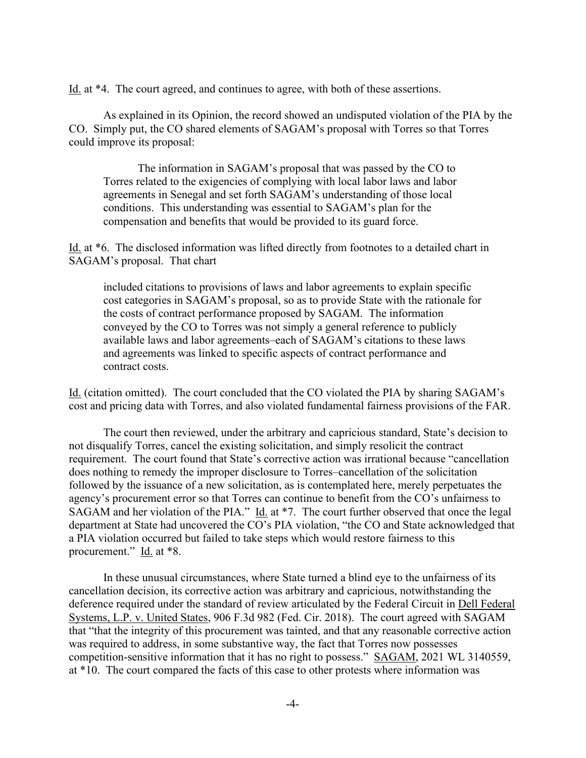Id. at \*4. The court agreed, and continues to agree, with both of these assertions.

As explained in its Opinion, the record showed an undisputed violation of the PIA by the CO. Simply put, the CO shared elements of SAGAM's proposal with Torres so that Torres could improve its proposal:

The information in SAGAM's proposal that was passed by the CO to Torres related to the exigencies of complying with local labor laws and labor agreements in Senegal and set forth SAGAM's understanding of those local conditions. This understanding was essential to SAGAM's plan for the compensation and benefits that would be provided to its guard force.

Id. at \*6. The disclosed information was lifted directly from footnotes to a detailed chart in SAGAM's proposal. That chart

included citations to provisions of laws and labor agreements to explain specific cost categories in SAGAM's proposal, so as to provide State with the rationale for the costs of contract performance proposed by SAGAM. The information conveyed by the CO to Torres was not simply a general reference to publicly available laws and labor agreements–each of SAGAM's citations to these laws and agreements was linked to specific aspects of contract performance and contract costs.

Id. (citation omitted). The court concluded that the CO violated the PIA by sharing SAGAM's cost and pricing data with Torres, and also violated fundamental fairness provisions of the FAR.

The court then reviewed, under the arbitrary and capricious standard, State's decision to not disqualify Torres, cancel the existing solicitation, and simply resolicit the contract requirement. The court found that State's corrective action was irrational because "cancellation does nothing to remedy the improper disclosure to Torres–cancellation of the solicitation followed by the issuance of a new solicitation, as is contemplated here, merely perpetuates the agency's procurement error so that Torres can continue to benefit from the CO's unfairness to SAGAM and her violation of the PIA." Id. at \*7. The court further observed that once the legal department at State had uncovered the CO's PIA violation, "the CO and State acknowledged that a PIA violation occurred but failed to take steps which would restore fairness to this procurement." Id. at \*8.

In these unusual circumstances, where State turned a blind eye to the unfairness of its cancellation decision, its corrective action was arbitrary and capricious, notwithstanding the deference required under the standard of review articulated by the Federal Circuit in Dell Federal Systems, L.P. v. United States, 906 F.3d 982 (Fed. Cir. 2018). The court agreed with SAGAM that "that the integrity of this procurement was tainted, and that any reasonable corrective action was required to address, in some substantive way, the fact that Torres now possesses competition-sensitive information that it has no right to possess." SAGAM, 2021 WL 3140559, at \*10. The court compared the facts of this case to other protests where information was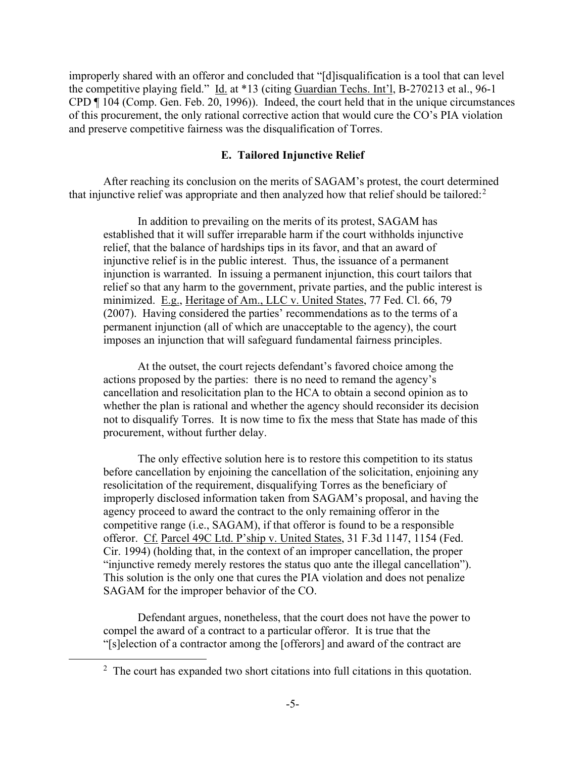improperly shared with an offeror and concluded that "[d]isqualification is a tool that can level the competitive playing field." Id. at \*13 (citing Guardian Techs. Int'l, B-270213 et al., 96-1 CPD ¶ 104 (Comp. Gen. Feb. 20, 1996)). Indeed, the court held that in the unique circumstances of this procurement, the only rational corrective action that would cure the CO's PIA violation and preserve competitive fairness was the disqualification of Torres.

#### **E. Tailored Injunctive Relief**

After reaching its conclusion on the merits of SAGAM's protest, the court determined that injunctive relief was appropriate and then analyzed how that relief should be tailored: $2$ 

In addition to prevailing on the merits of its protest, SAGAM has established that it will suffer irreparable harm if the court withholds injunctive relief, that the balance of hardships tips in its favor, and that an award of injunctive relief is in the public interest. Thus, the issuance of a permanent injunction is warranted. In issuing a permanent injunction, this court tailors that relief so that any harm to the government, private parties, and the public interest is minimized. E.g., Heritage of Am., LLC v. United States, 77 Fed. Cl. 66, 79 (2007). Having considered the parties' recommendations as to the terms of a permanent injunction (all of which are unacceptable to the agency), the court imposes an injunction that will safeguard fundamental fairness principles.

At the outset, the court rejects defendant's favored choice among the actions proposed by the parties: there is no need to remand the agency's cancellation and resolicitation plan to the HCA to obtain a second opinion as to whether the plan is rational and whether the agency should reconsider its decision not to disqualify Torres. It is now time to fix the mess that State has made of this procurement, without further delay.

The only effective solution here is to restore this competition to its status before cancellation by enjoining the cancellation of the solicitation, enjoining any resolicitation of the requirement, disqualifying Torres as the beneficiary of improperly disclosed information taken from SAGAM's proposal, and having the agency proceed to award the contract to the only remaining offeror in the competitive range (i.e., SAGAM), if that offeror is found to be a responsible offeror. Cf. Parcel 49C Ltd. P'ship v. United States, 31 F.3d 1147, 1154 (Fed. Cir. 1994) (holding that, in the context of an improper cancellation, the proper "injunctive remedy merely restores the status quo ante the illegal cancellation"). This solution is the only one that cures the PIA violation and does not penalize SAGAM for the improper behavior of the CO.

Defendant argues, nonetheless, that the court does not have the power to compel the award of a contract to a particular offeror. It is true that the "[s]election of a contractor among the [offerors] and award of the contract are

 $2$  The court has expanded two short citations into full citations in this quotation.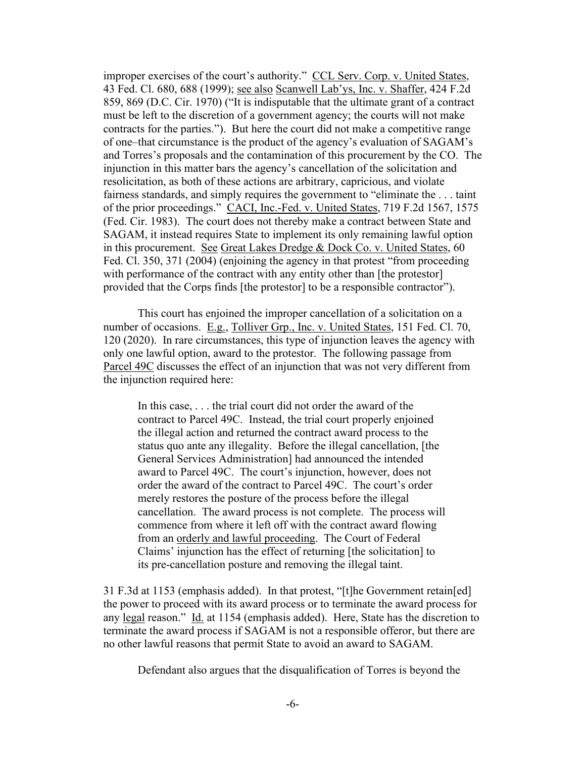improper exercises of the court's authority." CCL Serv. Corp. v. United States, 43 Fed. Cl. 680, 688 (1999); see also Scanwell Lab'ys, Inc. v. Shaffer, 424 F.2d 859, 869 (D.C. Cir. 1970) ("It is indisputable that the ultimate grant of a contract must be left to the discretion of a government agency; the courts will not make contracts for the parties."). But here the court did not make a competitive range of one–that circumstance is the product of the agency's evaluation of SAGAM's and Torres's proposals and the contamination of this procurement by the CO. The injunction in this matter bars the agency's cancellation of the solicitation and resolicitation, as both of these actions are arbitrary, capricious, and violate fairness standards, and simply requires the government to "eliminate the . . . taint of the prior proceedings." CACI, Inc.-Fed. v. United States, 719 F.2d 1567, 1575 (Fed. Cir. 1983). The court does not thereby make a contract between State and SAGAM, it instead requires State to implement its only remaining lawful option in this procurement. See Great Lakes Dredge & Dock Co. v. United States, 60 Fed. Cl. 350, 371 (2004) (enjoining the agency in that protest "from proceeding with performance of the contract with any entity other than [the protestor] provided that the Corps finds [the protestor] to be a responsible contractor").

This court has enjoined the improper cancellation of a solicitation on a number of occasions. E.g., Tolliver Grp., Inc. v. United States, 151 Fed. Cl. 70, 120 (2020). In rare circumstances, this type of injunction leaves the agency with only one lawful option, award to the protestor. The following passage from Parcel 49C discusses the effect of an injunction that was not very different from the injunction required here:

In this case, . . . the trial court did not order the award of the contract to Parcel 49C. Instead, the trial court properly enjoined the illegal action and returned the contract award process to the status quo ante any illegality. Before the illegal cancellation, [the General Services Administration] had announced the intended award to Parcel 49C. The court's injunction, however, does not order the award of the contract to Parcel 49C. The court's order merely restores the posture of the process before the illegal cancellation. The award process is not complete. The process will commence from where it left off with the contract award flowing from an orderly and lawful proceeding. The Court of Federal Claims' injunction has the effect of returning [the solicitation] to its pre-cancellation posture and removing the illegal taint.

31 F.3d at 1153 (emphasis added). In that protest, "[t]he Government retain[ed] the power to proceed with its award process or to terminate the award process for any legal reason." Id. at 1154 (emphasis added). Here, State has the discretion to terminate the award process if SAGAM is not a responsible offeror, but there are no other lawful reasons that permit State to avoid an award to SAGAM.

Defendant also argues that the disqualification of Torres is beyond the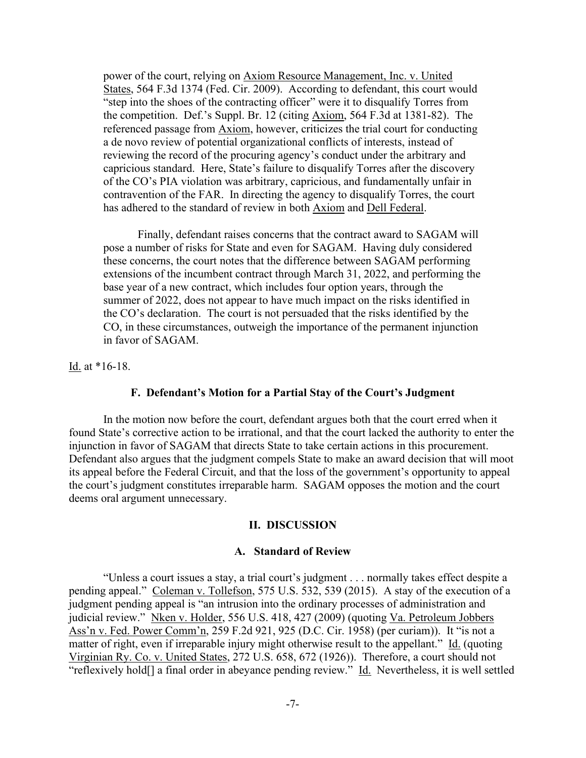power of the court, relying on Axiom Resource Management, Inc. v. United States, 564 F.3d 1374 (Fed. Cir. 2009). According to defendant, this court would "step into the shoes of the contracting officer" were it to disqualify Torres from the competition. Def.'s Suppl. Br. 12 (citing Axiom, 564 F.3d at 1381-82). The referenced passage from Axiom, however, criticizes the trial court for conducting a de novo review of potential organizational conflicts of interests, instead of reviewing the record of the procuring agency's conduct under the arbitrary and capricious standard. Here, State's failure to disqualify Torres after the discovery of the CO's PIA violation was arbitrary, capricious, and fundamentally unfair in contravention of the FAR. In directing the agency to disqualify Torres, the court has adhered to the standard of review in both Axiom and Dell Federal.

Finally, defendant raises concerns that the contract award to SAGAM will pose a number of risks for State and even for SAGAM. Having duly considered these concerns, the court notes that the difference between SAGAM performing extensions of the incumbent contract through March 31, 2022, and performing the base year of a new contract, which includes four option years, through the summer of 2022, does not appear to have much impact on the risks identified in the CO's declaration. The court is not persuaded that the risks identified by the CO, in these circumstances, outweigh the importance of the permanent injunction in favor of SAGAM.

<u>Id.</u> at  $*16-18$ .

#### **F. Defendant's Motion for a Partial Stay of the Court's Judgment**

In the motion now before the court, defendant argues both that the court erred when it found State's corrective action to be irrational, and that the court lacked the authority to enter the injunction in favor of SAGAM that directs State to take certain actions in this procurement. Defendant also argues that the judgment compels State to make an award decision that will moot its appeal before the Federal Circuit, and that the loss of the government's opportunity to appeal the court's judgment constitutes irreparable harm. SAGAM opposes the motion and the court deems oral argument unnecessary.

#### **II. DISCUSSION**

#### **A. Standard of Review**

"Unless a court issues a stay, a trial court's judgment . . . normally takes effect despite a pending appeal." Coleman v. Tollefson, 575 U.S. 532, 539 (2015). A stay of the execution of a judgment pending appeal is "an intrusion into the ordinary processes of administration and judicial review." Nken v. Holder, 556 U.S. 418, 427 (2009) (quoting Va. Petroleum Jobbers Ass'n v. Fed. Power Comm'n, 259 F.2d 921, 925 (D.C. Cir. 1958) (per curiam)). It "is not a matter of right, even if irreparable injury might otherwise result to the appellant." Id. (quoting Virginian Ry. Co. v. United States, 272 U.S. 658, 672 (1926)). Therefore, a court should not "reflexively hold<sup>[]</sup> a final order in abeyance pending review." Id. Nevertheless, it is well settled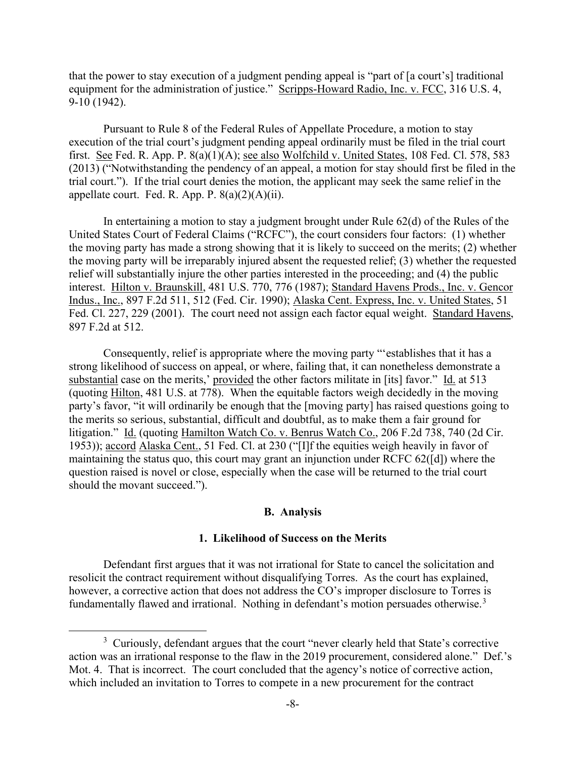that the power to stay execution of a judgment pending appeal is "part of [a court's] traditional equipment for the administration of justice." Scripps-Howard Radio, Inc. v. FCC, 316 U.S. 4, 9-10 (1942).

Pursuant to Rule 8 of the Federal Rules of Appellate Procedure, a motion to stay execution of the trial court's judgment pending appeal ordinarily must be filed in the trial court first. See Fed. R. App. P. 8(a)(1)(A); see also Wolfchild v. United States, 108 Fed. Cl. 578, 583 (2013) ("Notwithstanding the pendency of an appeal, a motion for stay should first be filed in the trial court."). If the trial court denies the motion, the applicant may seek the same relief in the appellate court. Fed. R. App. P.  $8(a)(2)(A)(ii)$ .

In entertaining a motion to stay a judgment brought under Rule 62(d) of the Rules of the United States Court of Federal Claims ("RCFC"), the court considers four factors: (1) whether the moving party has made a strong showing that it is likely to succeed on the merits; (2) whether the moving party will be irreparably injured absent the requested relief; (3) whether the requested relief will substantially injure the other parties interested in the proceeding; and (4) the public interest. Hilton v. Braunskill, 481 U.S. 770, 776 (1987); Standard Havens Prods., Inc. v. Gencor Indus., Inc., 897 F.2d 511, 512 (Fed. Cir. 1990); Alaska Cent. Express, Inc. v. United States, 51 Fed. Cl. 227, 229 (2001). The court need not assign each factor equal weight. Standard Havens, 897 F.2d at 512.

Consequently, relief is appropriate where the moving party "'establishes that it has a strong likelihood of success on appeal, or where, failing that, it can nonetheless demonstrate a substantial case on the merits,' provided the other factors militate in [its] favor." Id. at 513 (quoting Hilton, 481 U.S. at 778). When the equitable factors weigh decidedly in the moving party's favor, "it will ordinarily be enough that the [moving party] has raised questions going to the merits so serious, substantial, difficult and doubtful, as to make them a fair ground for litigation." Id. (quoting Hamilton Watch Co. v. Benrus Watch Co., 206 F.2d 738, 740 (2d Cir. 1953)); accord Alaska Cent., 51 Fed. Cl. at 230 ("[I]f the equities weigh heavily in favor of maintaining the status quo, this court may grant an injunction under RCFC 62([d]) where the question raised is novel or close, especially when the case will be returned to the trial court should the movant succeed.").

#### **B. Analysis**

#### **1. Likelihood of Success on the Merits**

Defendant first argues that it was not irrational for State to cancel the solicitation and resolicit the contract requirement without disqualifying Torres. As the court has explained, however, a corrective action that does not address the CO's improper disclosure to Torres is fundamentally flawed and irrational. Nothing in defendant's motion persuades otherwise.<sup>3</sup>

 $3$  Curiously, defendant argues that the court "never clearly held that State's corrective action was an irrational response to the flaw in the 2019 procurement, considered alone." Def.'s Mot. 4. That is incorrect. The court concluded that the agency's notice of corrective action, which included an invitation to Torres to compete in a new procurement for the contract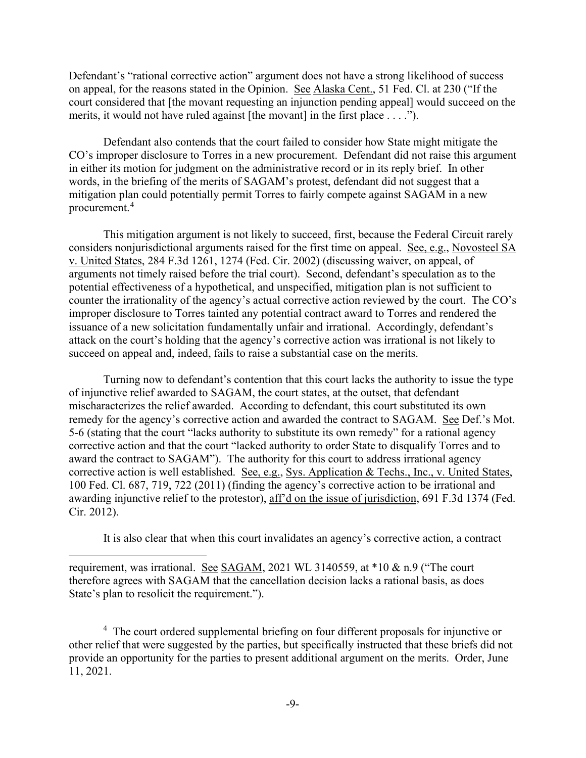Defendant's "rational corrective action" argument does not have a strong likelihood of success on appeal, for the reasons stated in the Opinion. See Alaska Cent., 51 Fed. Cl. at 230 ("If the court considered that [the movant requesting an injunction pending appeal] would succeed on the merits, it would not have ruled against [the movant] in the first place . . . .").

Defendant also contends that the court failed to consider how State might mitigate the CO's improper disclosure to Torres in a new procurement. Defendant did not raise this argument in either its motion for judgment on the administrative record or in its reply brief. In other words, in the briefing of the merits of SAGAM's protest, defendant did not suggest that a mitigation plan could potentially permit Torres to fairly compete against SAGAM in a new procurement.<sup>4</sup>

This mitigation argument is not likely to succeed, first, because the Federal Circuit rarely considers nonjurisdictional arguments raised for the first time on appeal. See, e.g., Novosteel SA v. United States, 284 F.3d 1261, 1274 (Fed. Cir. 2002) (discussing waiver, on appeal, of arguments not timely raised before the trial court). Second, defendant's speculation as to the potential effectiveness of a hypothetical, and unspecified, mitigation plan is not sufficient to counter the irrationality of the agency's actual corrective action reviewed by the court. The CO's improper disclosure to Torres tainted any potential contract award to Torres and rendered the issuance of a new solicitation fundamentally unfair and irrational. Accordingly, defendant's attack on the court's holding that the agency's corrective action was irrational is not likely to succeed on appeal and, indeed, fails to raise a substantial case on the merits.

Turning now to defendant's contention that this court lacks the authority to issue the type of injunctive relief awarded to SAGAM, the court states, at the outset, that defendant mischaracterizes the relief awarded. According to defendant, this court substituted its own remedy for the agency's corrective action and awarded the contract to SAGAM. See Def.'s Mot. 5-6 (stating that the court "lacks authority to substitute its own remedy" for a rational agency corrective action and that the court "lacked authority to order State to disqualify Torres and to award the contract to SAGAM"). The authority for this court to address irrational agency corrective action is well established. See, e.g., Sys. Application & Techs., Inc., v. United States, 100 Fed. Cl. 687, 719, 722 (2011) (finding the agency's corrective action to be irrational and awarding injunctive relief to the protestor), aff'd on the issue of jurisdiction, 691 F.3d 1374 (Fed. Cir. 2012).

It is also clear that when this court invalidates an agency's corrective action, a contract

requirement, was irrational. See SAGAM, 2021 WL 3140559, at \*10 & n.9 ("The court therefore agrees with SAGAM that the cancellation decision lacks a rational basis, as does State's plan to resolicit the requirement.").

<sup>4</sup> The court ordered supplemental briefing on four different proposals for injunctive or other relief that were suggested by the parties, but specifically instructed that these briefs did not provide an opportunity for the parties to present additional argument on the merits. Order, June 11, 2021.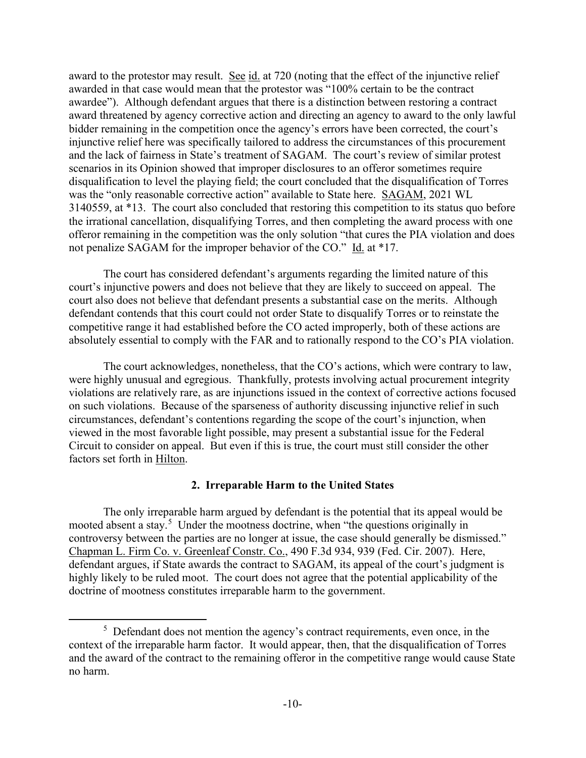award to the protestor may result. See id. at 720 (noting that the effect of the injunctive relief awarded in that case would mean that the protestor was "100% certain to be the contract awardee"). Although defendant argues that there is a distinction between restoring a contract award threatened by agency corrective action and directing an agency to award to the only lawful bidder remaining in the competition once the agency's errors have been corrected, the court's injunctive relief here was specifically tailored to address the circumstances of this procurement and the lack of fairness in State's treatment of SAGAM. The court's review of similar protest scenarios in its Opinion showed that improper disclosures to an offeror sometimes require disqualification to level the playing field; the court concluded that the disqualification of Torres was the "only reasonable corrective action" available to State here. SAGAM, 2021 WL 3140559, at \*13. The court also concluded that restoring this competition to its status quo before the irrational cancellation, disqualifying Torres, and then completing the award process with one offeror remaining in the competition was the only solution "that cures the PIA violation and does not penalize SAGAM for the improper behavior of the CO." Id. at \*17.

The court has considered defendant's arguments regarding the limited nature of this court's injunctive powers and does not believe that they are likely to succeed on appeal. The court also does not believe that defendant presents a substantial case on the merits. Although defendant contends that this court could not order State to disqualify Torres or to reinstate the competitive range it had established before the CO acted improperly, both of these actions are absolutely essential to comply with the FAR and to rationally respond to the CO's PIA violation.

The court acknowledges, nonetheless, that the CO's actions, which were contrary to law, were highly unusual and egregious. Thankfully, protests involving actual procurement integrity violations are relatively rare, as are injunctions issued in the context of corrective actions focused on such violations. Because of the sparseness of authority discussing injunctive relief in such circumstances, defendant's contentions regarding the scope of the court's injunction, when viewed in the most favorable light possible, may present a substantial issue for the Federal Circuit to consider on appeal. But even if this is true, the court must still consider the other factors set forth in Hilton.

## **2. Irreparable Harm to the United States**

The only irreparable harm argued by defendant is the potential that its appeal would be mooted absent a stay.<sup>5</sup> Under the mootness doctrine, when "the questions originally in controversy between the parties are no longer at issue, the case should generally be dismissed." Chapman L. Firm Co. v. Greenleaf Constr. Co., 490 F.3d 934, 939 (Fed. Cir. 2007). Here, defendant argues, if State awards the contract to SAGAM, its appeal of the court's judgment is highly likely to be ruled moot. The court does not agree that the potential applicability of the doctrine of mootness constitutes irreparable harm to the government.

 $5$  Defendant does not mention the agency's contract requirements, even once, in the context of the irreparable harm factor. It would appear, then, that the disqualification of Torres and the award of the contract to the remaining offeror in the competitive range would cause State no harm.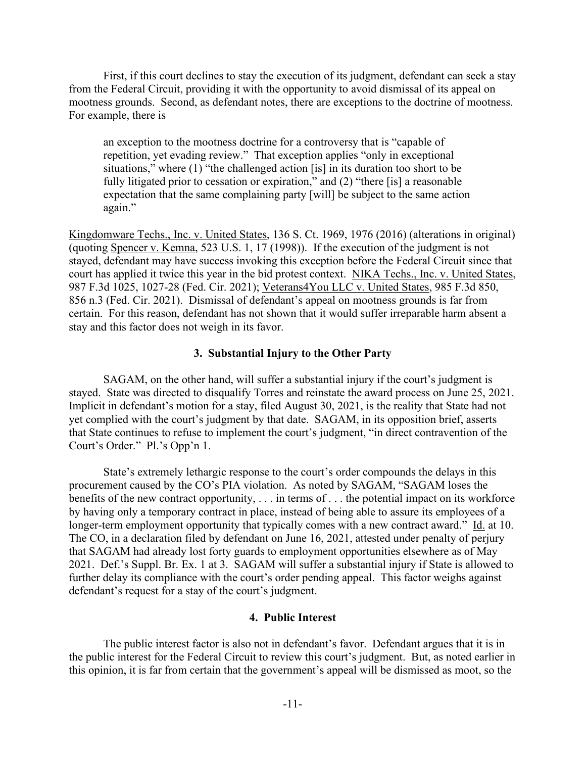First, if this court declines to stay the execution of its judgment, defendant can seek a stay from the Federal Circuit, providing it with the opportunity to avoid dismissal of its appeal on mootness grounds. Second, as defendant notes, there are exceptions to the doctrine of mootness. For example, there is

an exception to the mootness doctrine for a controversy that is "capable of repetition, yet evading review." That exception applies "only in exceptional situations," where (1) "the challenged action [is] in its duration too short to be fully litigated prior to cessation or expiration," and (2) "there [is] a reasonable expectation that the same complaining party [will] be subject to the same action again."

Kingdomware Techs., Inc. v. United States, 136 S. Ct. 1969, 1976 (2016) (alterations in original) (quoting Spencer v. Kemna, 523 U.S. 1, 17 (1998)). If the execution of the judgment is not stayed, defendant may have success invoking this exception before the Federal Circuit since that court has applied it twice this year in the bid protest context. NIKA Techs., Inc. v. United States, 987 F.3d 1025, 1027-28 (Fed. Cir. 2021); Veterans4You LLC v. United States, 985 F.3d 850, 856 n.3 (Fed. Cir. 2021). Dismissal of defendant's appeal on mootness grounds is far from certain. For this reason, defendant has not shown that it would suffer irreparable harm absent a stay and this factor does not weigh in its favor.

#### **3. Substantial Injury to the Other Party**

SAGAM, on the other hand, will suffer a substantial injury if the court's judgment is stayed. State was directed to disqualify Torres and reinstate the award process on June 25, 2021. Implicit in defendant's motion for a stay, filed August 30, 2021, is the reality that State had not yet complied with the court's judgment by that date. SAGAM, in its opposition brief, asserts that State continues to refuse to implement the court's judgment, "in direct contravention of the Court's Order." Pl.'s Opp'n 1.

State's extremely lethargic response to the court's order compounds the delays in this procurement caused by the CO's PIA violation. As noted by SAGAM, "SAGAM loses the benefits of the new contract opportunity, . . . in terms of . . . the potential impact on its workforce by having only a temporary contract in place, instead of being able to assure its employees of a longer-term employment opportunity that typically comes with a new contract award." Id. at 10. The CO, in a declaration filed by defendant on June 16, 2021, attested under penalty of perjury that SAGAM had already lost forty guards to employment opportunities elsewhere as of May 2021. Def.'s Suppl. Br. Ex. 1 at 3. SAGAM will suffer a substantial injury if State is allowed to further delay its compliance with the court's order pending appeal. This factor weighs against defendant's request for a stay of the court's judgment.

#### **4. Public Interest**

The public interest factor is also not in defendant's favor. Defendant argues that it is in the public interest for the Federal Circuit to review this court's judgment. But, as noted earlier in this opinion, it is far from certain that the government's appeal will be dismissed as moot, so the